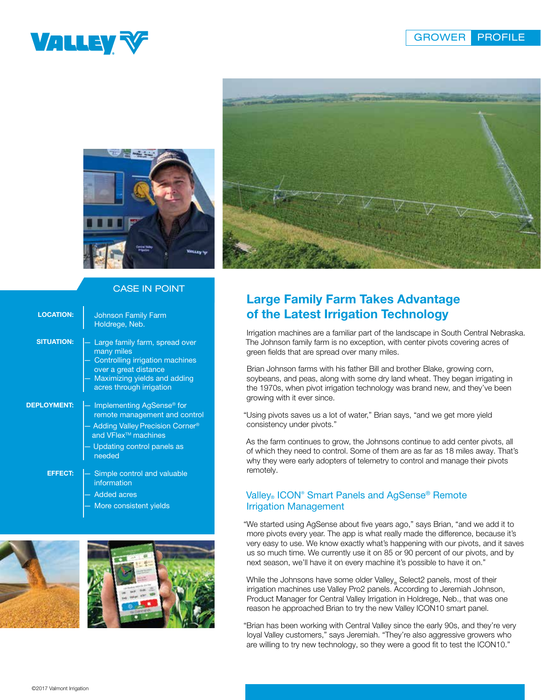





## CASE IN POINT

| <b>LOCATION:</b>                                        | <b>Johnson Family Farm</b><br>Holdrege, Neb.                                                                                                                                           |
|---------------------------------------------------------|----------------------------------------------------------------------------------------------------------------------------------------------------------------------------------------|
| <b>SITUATION:</b>                                       | Large family farm, spread over<br>many miles<br>Controlling irrigation machines<br>over a great distance<br>Maximizing yields and adding<br>acres through irrigation                   |
| <b>DEPLOYMENT:</b>                                      | Implementing AgSense <sup>®</sup> for<br>remote management and control<br>Adding Valley Precision Corner <sup>®</sup><br>and VFlex <sup>™</sup> machines<br>Updating control panels as |
| needed<br><b>EFFECT:</b><br>Simple control and valuable |                                                                                                                                                                                        |
|                                                         | information<br><b>Added acres</b>                                                                                                                                                      |
|                                                         | More consistent yields                                                                                                                                                                 |



# Large Family Farm Takes Advantage of the Latest Irrigation Technology

Irrigation machines are a familiar part of the landscape in South Central Nebraska. The Johnson family farm is no exception, with center pivots covering acres of green fields that are spread over many miles.

Brian Johnson farms with his father Bill and brother Blake, growing corn, soybeans, and peas, along with some dry land wheat. They began irrigating in the 1970s, when pivot irrigation technology was brand new, and they've been growing with it ever since.

"Using pivots saves us a lot of water," Brian says, "and we get more yield consistency under pivots."

As the farm continues to grow, the Johnsons continue to add center pivots, all of which they need to control. Some of them are as far as 18 miles away. That's why they were early adopters of telemetry to control and manage their pivots remotely.

#### Valley<sub>®</sub> ICON<sup>®</sup> Smart Panels and AgSense® Remote Irrigation Management

"We started using AgSense about five years ago," says Brian, "and we add it to more pivots every year. The app is what really made the difference, because it's very easy to use. We know exactly what's happening with our pivots, and it saves us so much time. We currently use it on 85 or 90 percent of our pivots, and by next season, we'll have it on every machine it's possible to have it on."

While the Johnsons have some older Valley<sub>®</sub> Select2 panels, most of their irrigation machines use Valley Pro2 panels. According to Jeremiah Johnson, Product Manager for Central Valley Irrigation in Holdrege, Neb., that was one reason he approached Brian to try the new Valley ICON10 smart panel.

"Brian has been working with Central Valley since the early 90s, and they're very loyal Valley customers," says Jeremiah. "They're also aggressive growers who are willing to try new technology, so they were a good fit to test the ICON10."